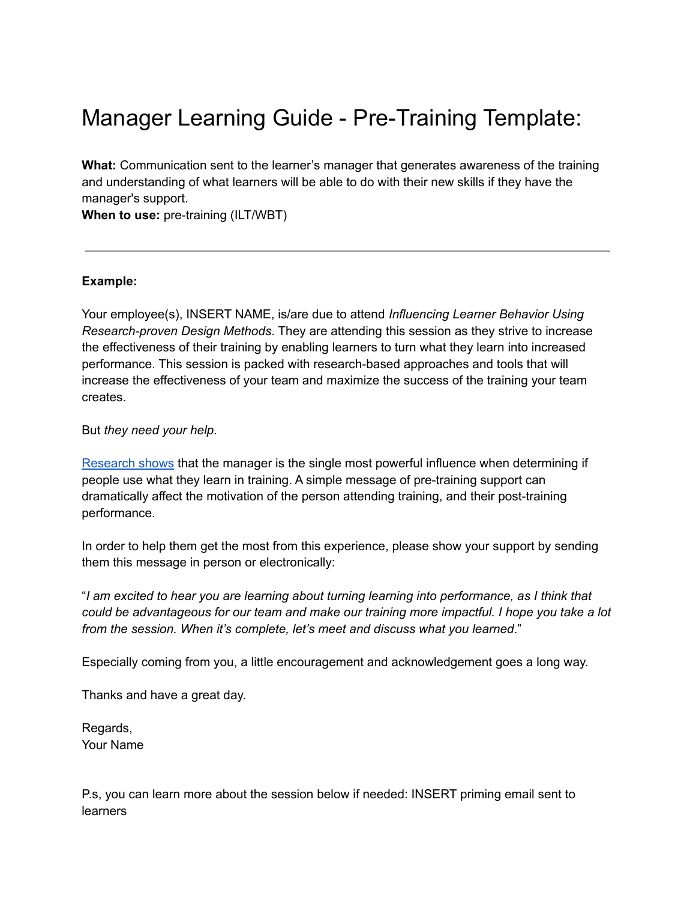## Manager Learning Guide - Pre-Training Template:

**What:** Communication sent to the learner's manager that generates awareness of the training and understanding of what learners will be able to do with their new skills if they have the manager's support.

**When to use:** pre-training (ILT/WBT)

## **Example:**

Your employee(s), INSERT NAME, is/are due to attend *Influencing Learner Behavior Using Research-proven Design Methods*. They are attending this session as they strive to increase the effectiveness of their training by enabling learners to turn what they learn into increased performance. This session is packed with research-based approaches and tools that will increase the effectiveness of your team and maximize the success of the training your team creates.

But *they need your help.*

[Research](https://www.emerald.com/insight/content/doi/10.1108/00197851011026063/full/html) shows that the manager is the single most powerful influence when determining if people use what they learn in training. A simple message of pre-training support can dramatically affect the motivation of the person attending training, and their post-training performance.

In order to help them get the most from this experience, please show your support by sending them this message in person or electronically:

"*I am excited to hear you are learning about turning learning into performance, as I think that could be advantageous for our team and make our training more impactful. I hope you take a lot from the session. When it's complete, let's meet and discuss what you learned*."

Especially coming from you, a little encouragement and acknowledgement goes a long way.

Thanks and have a great day.

Regards, Your Name

P.s, you can learn more about the session below if needed: INSERT priming email sent to **learners**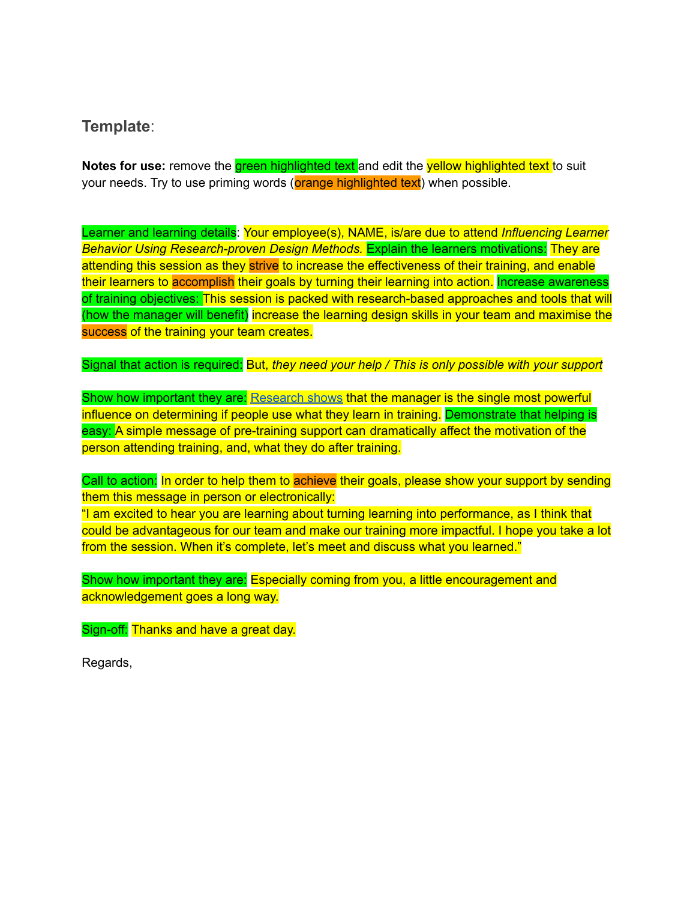**Template**:

**Notes for use:** remove the green highlighted text and edit the yellow highlighted text to suit your needs. Try to use priming words (**orange highlighted text**) when possible.

Learner and learning details: Your employee(s), NAME, is/are due to attend *Influencing Learner Behavior Using Research-proven Design Methods.* Explain the learners motivations: They are attending this session as they strive to increase the effectiveness of their training, and enable their learners to accomplish their goals by turning their learning into action. Increase awareness of training objectives: This session is packed with research-based approaches and tools that will (how the manager will benefit) increase the learning design skills in your team and maximise the success of the training your team creates.

Signal that action is required: But, *they need your help / This is only possible with your support*

Show how important they are: [Research](https://www.emerald.com/insight/content/doi/10.1108/00197851011026063/full/html) shows that the manager is the single most powerful influence on determining if people use what they learn in training. Demonstrate that helping is easy: A simple message of pre-training support can dramatically affect the motivation of the person attending training, and, what they do after training.

Call to action: In order to help them to achieve their goals, please show your support by sending them this message in person or electronically:

"I am excited to hear you are learning about turning learning into performance, as I think that could be advantageous for our team and make our training more impactful. I hope you take a lot from the session. When it's complete, let's meet and discuss what you learned."

Show how important they are: Especially coming from you, a little encouragement and acknowledgement goes a long way.

Sign-off: Thanks and have a great day.

Regards,